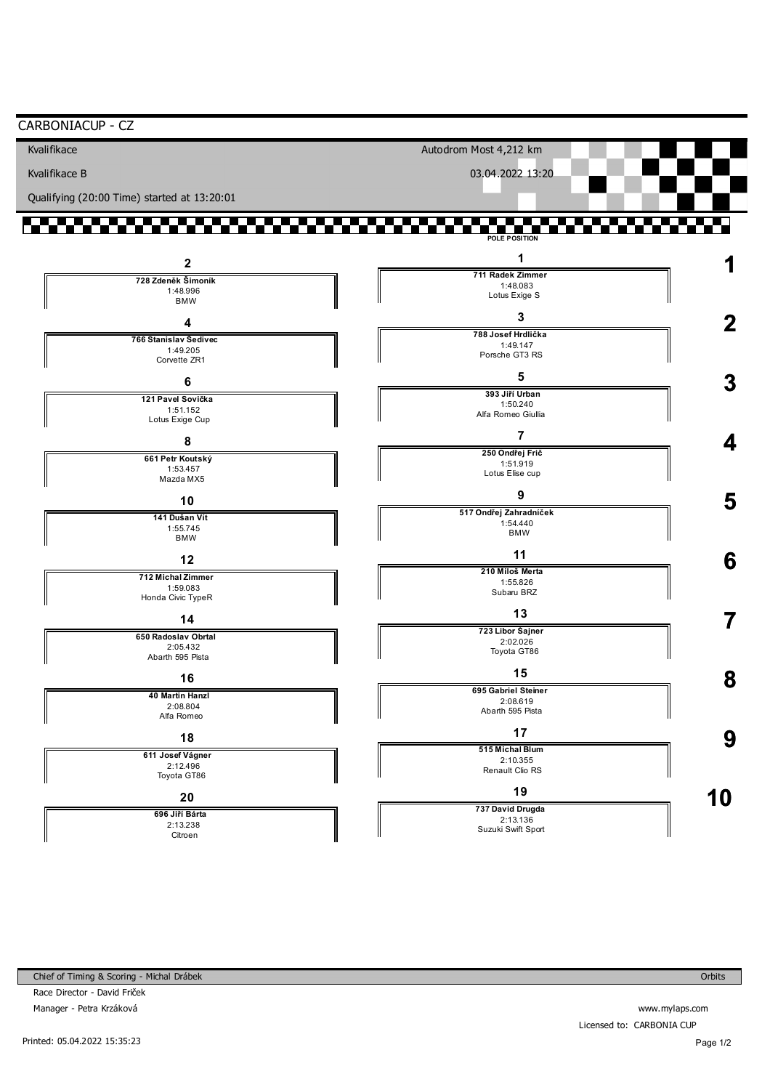| CARBONIACUP - CZ                            |                                |    |
|---------------------------------------------|--------------------------------|----|
| Kvalifikace                                 | Autodrom Most 4,212 km         |    |
| Kvalifikace B                               | 03.04.2022 13:20               |    |
| Qualifying (20:00 Time) started at 13:20:01 |                                |    |
|                                             | POLE POSITION                  |    |
| $\mathbf{2}$                                | 1                              |    |
| 728 Zdeněk Šimoník                          | 711 Radek Zimmer<br>1:48.083   |    |
| 1:48.996<br><b>BMW</b>                      | Lotus Exige S                  |    |
| 4                                           | 3                              |    |
| 766 Stanislav Šedivec                       | 788 Josef Hrdlička             |    |
| 1:49.205                                    | 1:49.147<br>Porsche GT3 RS     |    |
| Corvette ZR1                                | 5                              |    |
| 6                                           | 393 Jiří Urban                 |    |
| 121 Pavel Sovička<br>1:51.152               | 1:50.240                       |    |
| Lotus Exige Cup                             | Alfa Romeo Giullia             |    |
| 8                                           | 7                              |    |
| 661 Petr Koutský                            | 250 Ondřej Frič                |    |
| 1:53.457<br>Mazda MX5                       | 1:51.919<br>Lotus Elise cup    |    |
|                                             | 9                              |    |
| 10                                          | 517 Ondřej Zahradníček         | 5  |
| 141 Dušan Vít<br>1:55.745                   | 1:54.440                       |    |
| <b>BMW</b>                                  | <b>BMW</b>                     |    |
| 12                                          | 11                             | 6  |
| 712 Michal Zimmer                           | 210 Miloš Merta                |    |
| 1:59.083                                    | 1:55.826<br>Subaru BRZ         |    |
| Honda Civic TypeR                           | 13                             |    |
| 14                                          | 723 Libor Šajner               |    |
| 650 Radoslav Obrtal<br>2:05.432             | 2:02.026                       |    |
| Abarth 595 Pista                            | Toyota GT86                    |    |
| 16                                          | 15                             | 8  |
| 40 Martin Hanzl                             | 695 Gabriel Steiner            |    |
| 2:08.804                                    | 2:08.619<br>Abarth 595 Pista   |    |
| Alfa Romeo                                  |                                |    |
| 18                                          | 17                             | 9  |
| 611 Josef Vágner                            | 515 Michal Blum<br>2:10.355    |    |
| 2:12.496<br>Toyota GT86                     | Renault Clio RS                |    |
| 20                                          | 19                             |    |
| 696 Jiří Bárta                              | 737 David Drugda               | 10 |
| 2:13.238                                    | 2:13.136<br>Suzuki Swift Sport |    |
| Citroen                                     |                                |    |

www.mylaps.com Licensed to: CARBONIA CUP

Page 1/2

Orbits